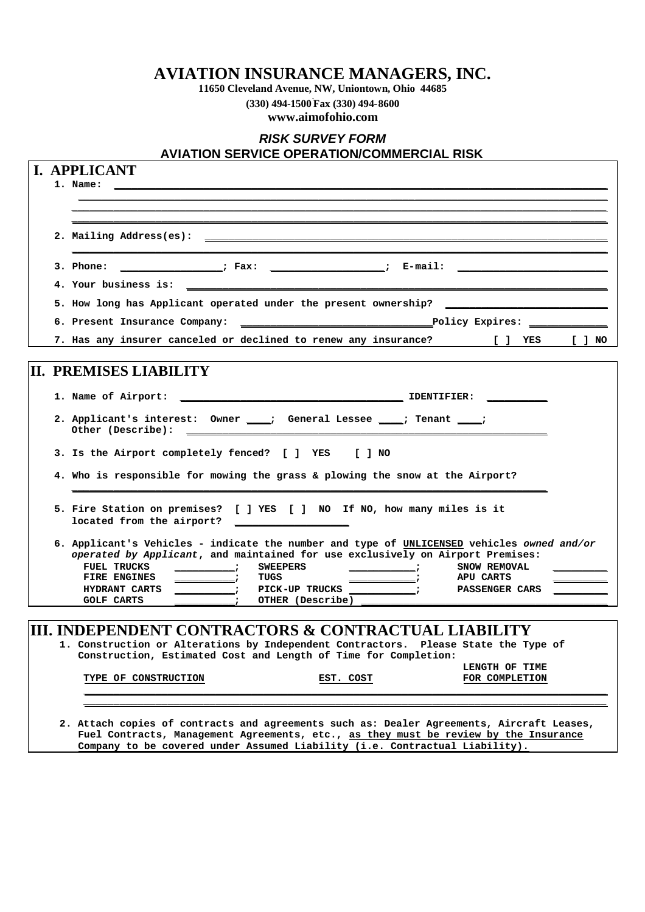### **AVIATION INSURANCE MANAGERS, INC.**

**11650 Cleveland Avenue, NW, Uniontown, Ohio 44685**

**(330) 494-1500 . Fax (330) 494-8600 www.aimofohio.com**

## *RISK SURVEY FORM* **AVIATION SERVICE OPERATION/COMMERCIAL RISK I. APPLICANT 1. Name: \_\_\_\_\_\_\_\_\_\_\_\_\_\_\_\_\_\_\_\_\_\_\_\_\_\_\_\_\_\_\_\_\_\_\_\_\_\_\_\_\_\_\_\_\_\_\_\_\_\_\_\_\_\_\_\_\_\_\_\_\_\_\_\_\_\_\_\_\_\_\_\_\_\_\_\_\_\_\_\_\_\_ \_\_\_\_\_\_\_\_\_\_\_\_\_\_\_\_\_\_\_\_\_\_\_\_\_\_\_\_\_\_\_\_\_\_\_\_\_\_\_\_\_\_\_\_\_\_\_\_\_\_\_\_\_\_\_\_\_\_\_\_\_\_\_\_\_\_\_\_\_\_\_\_\_\_\_\_\_\_\_\_\_\_\_\_\_\_\_\_ \_\_\_\_\_\_\_\_\_\_\_\_\_\_\_\_\_\_\_\_\_\_\_\_\_\_\_\_\_\_\_\_\_\_\_\_\_\_\_\_\_\_\_\_\_\_\_\_\_\_\_\_\_\_\_\_\_\_\_\_\_\_\_\_\_\_\_\_\_\_\_\_\_\_\_\_\_\_\_\_\_\_\_\_\_\_\_\_\_ \_\_\_\_\_\_\_\_\_\_\_\_\_\_\_\_\_\_\_\_\_\_\_\_\_\_\_\_\_\_\_\_\_\_\_\_\_\_\_\_\_\_\_\_\_\_\_\_\_\_\_\_\_\_\_\_\_\_\_\_\_\_\_\_\_\_\_\_\_\_\_\_\_\_\_\_\_\_\_\_\_\_\_\_\_\_\_\_\_** 2. Mailing Address(es): **\_\_\_\_\_\_\_\_\_\_\_\_\_\_\_\_\_\_\_\_\_\_\_\_\_\_\_\_\_\_\_\_\_\_\_\_\_\_\_\_\_\_\_\_\_\_\_\_\_\_\_\_\_\_\_\_\_\_\_\_\_\_\_\_\_\_\_\_\_\_\_\_\_\_\_\_\_\_\_\_\_\_\_\_\_\_\_\_\_** 3. Phone: \_\_\_\_\_\_\_\_\_\_\_\_\_\_\_\_\_\_; Fax: \_\_\_\_\_\_\_\_\_\_\_\_\_\_\_\_\_\_\_\_\_\_; E-mail: \_\_\_\_\_\_\_\_\_\_\_\_\_\_ **4. Your business is: \_\_\_\_\_\_\_\_\_\_\_\_\_\_\_\_\_\_\_\_\_\_\_\_\_\_\_\_\_\_\_\_\_\_\_\_\_\_\_\_\_\_\_\_\_\_\_\_\_\_\_\_\_\_\_\_\_\_\_\_\_\_\_\_\_\_\_\_\_\_** 5. How long has Applicant operated under the present ownership? **6. Present Insurance Company: \_\_\_\_\_\_\_\_\_\_\_\_\_\_\_\_\_\_\_\_\_\_\_\_\_\_\_\_\_\_\_\_Policy Expires: \_\_\_\_\_\_\_\_\_\_\_\_\_ 7. Has any insurer canceled or declined to renew any insurance? [ ] YES [ ] NO II. PREMISES LIABILITY 1. Name of Airport: \_\_\_\_\_\_\_\_\_\_\_\_\_\_\_\_\_\_\_\_\_\_\_\_\_\_\_\_\_\_\_\_\_\_\_\_\_ IDENTIFIER: \_\_\_\_\_\_\_\_\_\_ 2. Applicant's interest: Owner \_\_\_\_; General Lessee \_\_\_\_; Tenant \_\_\_\_;** Other (Describe): **3. Is the Airport completely fenced? [ ] YES [ ] NO 4. Who is responsible for mowing the grass & plowing the snow at the Airport? \_\_\_\_\_\_\_\_\_\_\_\_\_\_\_\_\_\_\_\_\_\_\_\_\_\_\_\_\_\_\_\_\_\_\_\_\_\_\_\_\_\_\_\_\_\_\_\_\_\_\_\_\_\_\_\_\_\_\_\_\_\_\_\_\_\_\_\_\_\_\_\_\_\_\_\_\_\_\_ 5. Fire Station on premises? [ ] YES [ ] NO If NO, how many miles is it located from the airport? \_\_\_\_\_\_\_\_\_\_\_\_\_\_\_\_\_\_\_ 6. Applicant's Vehicles - indicate the number and type of UNLICENSED vehicles** *owned and/or operated by Applicant*, and maintained for use exclusively on Airport Premises:<br>FUEL TRUCKS \_\_\_\_\_\_\_\_\_\_\_; SWEEPERS \_\_\_\_\_\_\_\_\_\_\_; SNOW REMOVAL **FUEL TRUCKS \_\_\_\_\_\_\_\_\_\_; SWEEPERS \_\_\_\_\_\_\_\_\_\_\_; SNOW REMOVAL \_\_\_\_\_\_\_\_\_ FIRE ENGINES \_\_\_\_\_\_\_\_\_\_; TUGS \_\_\_\_\_\_\_\_\_\_\_; APU CARTS \_\_\_\_\_\_\_\_\_ HYDRANT CARTS \_\_\_\_\_\_\_\_\_\_; PICK-UP TRUCKS \_\_\_\_\_\_\_\_\_\_\_; PASSENGER CARS \_\_\_\_\_\_\_\_\_ GOLF CARTS \_\_\_\_\_\_\_\_\_\_; OTHER (Describe) \_\_\_\_\_\_\_\_\_\_\_\_\_\_\_\_\_\_\_\_\_\_\_\_\_\_\_\_\_\_\_\_\_\_\_\_\_\_\_\_\_ III. INDEPENDENT CONTRACTORS & CONTRACTUAL LIABILITY 1. Construction or Alterations by Independent Contractors. Please State the Type of Construction, Estimated Cost and Length of Time for Completion: LENGTH OF TIME** TYPE OF CONSTRUCTION **EST. COST \_\_\_\_\_\_\_\_\_\_\_\_\_\_\_\_\_\_\_\_\_\_\_\_\_\_\_\_\_\_\_\_\_\_\_\_\_\_\_\_\_\_\_\_\_\_\_\_\_\_\_\_\_\_\_\_\_\_\_\_\_\_\_\_\_\_\_\_\_\_\_\_\_\_\_\_\_\_\_\_\_\_\_\_\_\_\_ \_\_\_\_\_\_\_\_\_\_\_\_\_\_\_\_\_\_\_\_\_\_\_\_\_\_\_\_\_\_\_\_\_\_\_\_\_\_\_\_\_\_\_\_\_\_\_\_\_\_\_\_\_\_\_\_\_\_\_\_\_\_\_\_\_\_\_\_\_\_\_\_\_\_\_\_\_\_\_\_\_\_\_\_\_\_\_**

**2. Attach copies of contracts and agreements such as: Dealer Agreements, Aircraft Leases, Fuel Contracts, Management Agreements, etc., as they must be review by the Insurance Company to be covered under Assumed Liability (i.e. Contractual Liability).**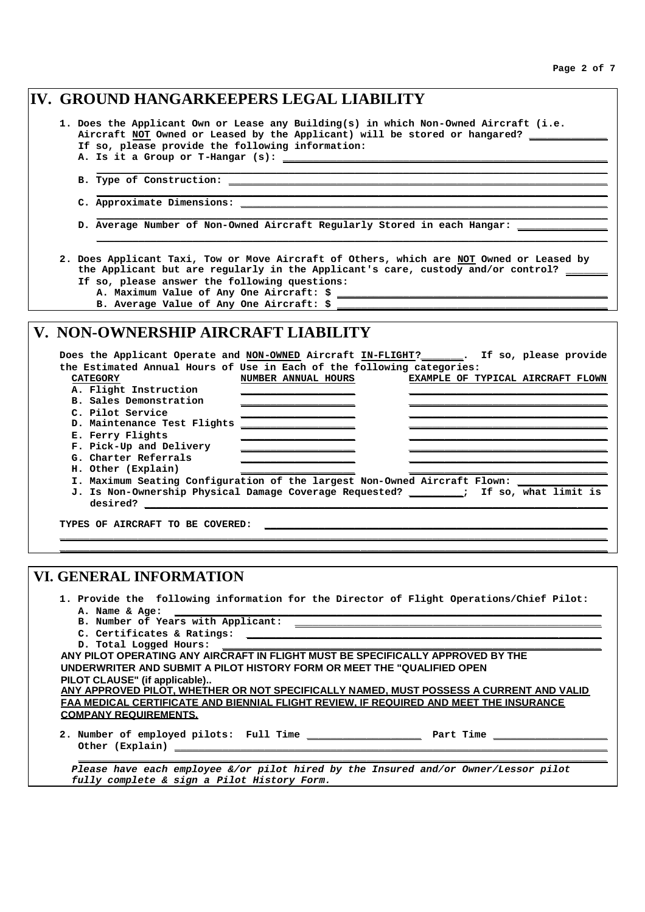|  |                                                                                                                                                                                                                                | IV. GROUND HANGARKEEPERS LEGAL LIABILITY                                                                                                                                          |
|--|--------------------------------------------------------------------------------------------------------------------------------------------------------------------------------------------------------------------------------|-----------------------------------------------------------------------------------------------------------------------------------------------------------------------------------|
|  |                                                                                                                                                                                                                                | 1. Does the Applicant Own or Lease any Building(s) in which Non-Owned Aircraft (i.e.                                                                                              |
|  |                                                                                                                                                                                                                                | Aircraft NOT Owned or Leased by the Applicant) will be stored or hangared? ______                                                                                                 |
|  | If so, please provide the following information:                                                                                                                                                                               |                                                                                                                                                                                   |
|  | A. Is it a Group or T-Hangar (s): ____________                                                                                                                                                                                 |                                                                                                                                                                                   |
|  |                                                                                                                                                                                                                                |                                                                                                                                                                                   |
|  |                                                                                                                                                                                                                                |                                                                                                                                                                                   |
|  |                                                                                                                                                                                                                                |                                                                                                                                                                                   |
|  |                                                                                                                                                                                                                                | D. Average Number of Non-Owned Aircraft Regularly Stored in each Hangar: ____________                                                                                             |
|  | If so, please answer the following questions:                                                                                                                                                                                  | 2. Does Applicant Taxi, Tow or Move Aircraft of Others, which are NOT Owned or Leased by<br>the Applicant but are regularly in the Applicant's care, custody and/or control? ____ |
|  | B. Average Value of Any One Aircraft: \$                                                                                                                                                                                       |                                                                                                                                                                                   |
|  |                                                                                                                                                                                                                                |                                                                                                                                                                                   |
|  | V. NON-OWNERSHIP AIRCRAFT LIABILITY                                                                                                                                                                                            | Does the Applicant Operate and NON-OWNED Aircraft IN-FLIGHT?______. If so, please provide                                                                                         |
|  |                                                                                                                                                                                                                                | the Estimated Annual Hours of Use in Each of the following categories:                                                                                                            |
|  | <b>CATEGORY</b>                                                                                                                                                                                                                | NUMBER ANNUAL HOURS<br>EXAMPLE OF TYPICAL AIRCRAFT FLOWN                                                                                                                          |
|  | A. Flight Instruction                                                                                                                                                                                                          |                                                                                                                                                                                   |
|  | <b>B. Sales Demonstration</b>                                                                                                                                                                                                  |                                                                                                                                                                                   |
|  | C. Pilot Service                                                                                                                                                                                                               |                                                                                                                                                                                   |
|  | D. Maintenance Test Flights                                                                                                                                                                                                    | <u> 2000 - Jan James James Barnett, martin de la partide de la partide de la partide de la partide de la partide d</u>                                                            |
|  | E. Ferry Flights                                                                                                                                                                                                               |                                                                                                                                                                                   |
|  | F. Pick-Up and Delivery                                                                                                                                                                                                        |                                                                                                                                                                                   |
|  | G. Charter Referrals                                                                                                                                                                                                           |                                                                                                                                                                                   |
|  | H. Other (Explain)                                                                                                                                                                                                             |                                                                                                                                                                                   |
|  |                                                                                                                                                                                                                                | I. Maximum Seating Configuration of the largest Non-Owned Aircraft Flown: ______                                                                                                  |
|  | desired? The contract of the contract of the contract of the contract of the contract of the contract of the contract of the contract of the contract of the contract of the contract of the contract of the contract of the c | J. Is Non-Ownership Physical Damage Coverage Requested? ________; If so, what limit is                                                                                            |
|  |                                                                                                                                                                                                                                |                                                                                                                                                                                   |
|  |                                                                                                                                                                                                                                |                                                                                                                                                                                   |
|  | TYPES OF AIRCRAFT TO BE COVERED:                                                                                                                                                                                               |                                                                                                                                                                                   |
|  |                                                                                                                                                                                                                                |                                                                                                                                                                                   |

## **VI. GENERAL INFORMATION**

|                |  |  |  |  | 1. Provide the following information for the Director of Flight Operations/Chief Pilot: |  |
|----------------|--|--|--|--|-----------------------------------------------------------------------------------------|--|
| A. Name & Age: |  |  |  |  |                                                                                         |  |

- **B. Number of Years with Applicant: \_\_\_\_\_\_\_\_\_\_\_\_\_\_\_\_\_\_\_\_\_\_\_\_\_\_\_\_\_\_\_\_\_\_\_\_\_\_\_\_\_\_\_\_\_\_\_\_\_\_\_**
- **C. Certificates & Ratings: \_\_\_\_\_\_\_\_\_\_\_\_\_\_\_\_\_\_\_\_\_\_\_\_\_\_\_\_\_\_\_\_\_\_\_\_\_\_\_\_\_\_\_\_\_\_\_\_\_\_\_\_\_\_\_\_\_\_\_**

| D. Total Logged Hours: |
|------------------------|
|------------------------|

| ANY PILOT OPERATING ANY AIRCRAFT IN FLIGHT MUST BE SPECIFICALLY APPROVED BY THE         |
|-----------------------------------------------------------------------------------------|
| UNDERWRITER AND SUBMIT A PILOT HISTORY FORM OR MEET THE "QUALIFIED OPEN"                |
| PILOT CLAUSE" (if applicable)                                                           |
| ANY APPROVED PILOT. WHETHER OR NOT SPECIFICALLY NAMED. MUST POSSESS A CURRENT AND VALID |
| FAA MEDICAL CERTIFICATE AND BIENNIAL FLIGHT REVIEW. IF REQUIRED AND MEET THE INSURANCE  |
| <b>COMPANY REQUIREMENTS.</b>                                                            |
|                                                                                         |

**2. Number of employed pilots: Full Time \_\_\_\_\_\_\_\_\_\_\_\_\_\_\_\_\_\_\_ Part Time \_\_\_\_\_\_\_\_\_\_\_\_\_\_\_\_\_\_\_** Other (Explain) **\_** 

*Please have each employee &/or pilot hired by the Insured and/or Owner/Lessor pilot fully complete & sign a Pilot History Form.*

**\_\_\_\_\_\_\_\_\_\_\_\_\_\_\_\_\_\_\_\_\_\_\_\_\_\_\_\_\_\_\_\_\_\_\_\_\_\_\_\_\_\_\_\_\_\_\_\_\_\_\_\_\_\_\_\_\_\_\_\_\_\_\_\_\_\_\_\_\_\_\_\_\_\_\_\_\_\_\_\_\_\_\_\_\_\_\_\_**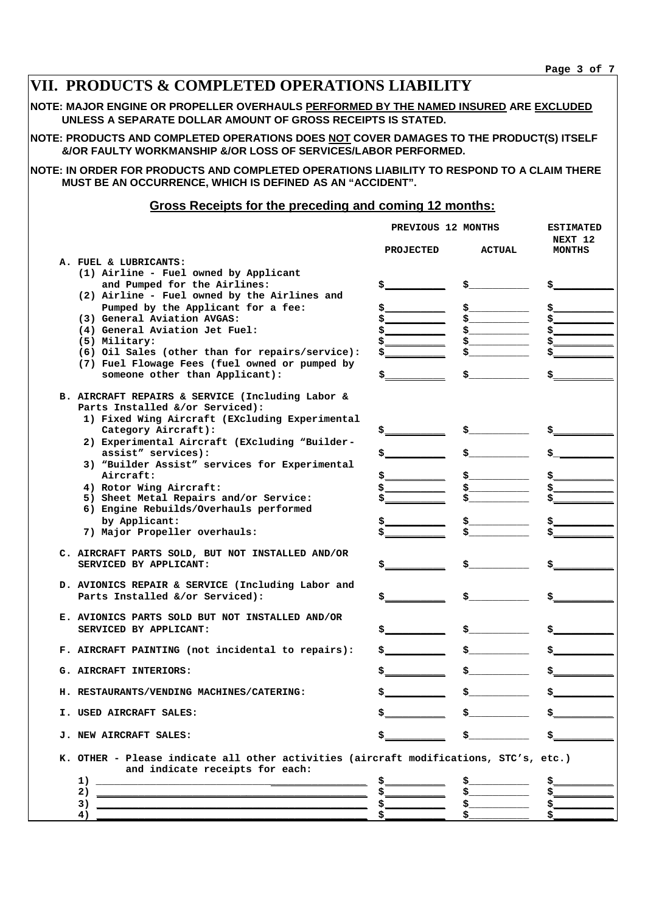| VII. PRODUCTS & COMPLETED OPERATIONS LIABILITY                                                                                                                                                                                                                                                                                                                                                                |       |                                          |                                                                                                                                                                                                                                                                                                                     |                          |  |  |  |  |  |
|---------------------------------------------------------------------------------------------------------------------------------------------------------------------------------------------------------------------------------------------------------------------------------------------------------------------------------------------------------------------------------------------------------------|-------|------------------------------------------|---------------------------------------------------------------------------------------------------------------------------------------------------------------------------------------------------------------------------------------------------------------------------------------------------------------------|--------------------------|--|--|--|--|--|
| NOTE: MAJOR ENGINE OR PROPELLER OVERHAULS PERFORMED BY THE NAMED INSURED ARE EXCLUDED<br>UNLESS A SEPARATE DOLLAR AMOUNT OF GROSS RECEIPTS IS STATED.                                                                                                                                                                                                                                                         |       |                                          |                                                                                                                                                                                                                                                                                                                     |                          |  |  |  |  |  |
| NOTE: PRODUCTS AND COMPLETED OPERATIONS DOES NOT COVER DAMAGES TO THE PRODUCT(S) ITSELF<br>&/OR FAULTY WORKMANSHIP &/OR LOSS OF SERVICES/LABOR PERFORMED.                                                                                                                                                                                                                                                     |       |                                          |                                                                                                                                                                                                                                                                                                                     |                          |  |  |  |  |  |
| NOTE: IN ORDER FOR PRODUCTS AND COMPLETED OPERATIONS LIABILITY TO RESPOND TO A CLAIM THERE<br>MUST BE AN OCCURRENCE, WHICH IS DEFINED AS AN "ACCIDENT".                                                                                                                                                                                                                                                       |       |                                          |                                                                                                                                                                                                                                                                                                                     |                          |  |  |  |  |  |
| <b>Gross Receipts for the preceding and coming 12 months:</b>                                                                                                                                                                                                                                                                                                                                                 |       |                                          |                                                                                                                                                                                                                                                                                                                     |                          |  |  |  |  |  |
| PREVIOUS 12 MONTHS<br><b>ESTIMATED</b>                                                                                                                                                                                                                                                                                                                                                                        |       |                                          |                                                                                                                                                                                                                                                                                                                     |                          |  |  |  |  |  |
|                                                                                                                                                                                                                                                                                                                                                                                                               |       | <b>PROJECTED</b>                         | <b>ACTUAL</b>                                                                                                                                                                                                                                                                                                       | NEXT 12<br><b>MONTHS</b> |  |  |  |  |  |
| A. FUEL & LUBRICANTS:<br>(1) Airline - Fuel owned by Applicant<br>and Pumped for the Airlines:<br>(2) Airline - Fuel owned by the Airlines and<br>Pumped by the Applicant for a fee:<br>(3) General Aviation AVGAS:<br>(4) General Aviation Jet Fuel:<br>(5) Military:<br>(6) Oil Sales (other than for repairs/service):<br>(7) Fuel Flowage Fees (fuel owned or pumped by<br>someone other than Applicant): | \$___ | \$_<br>\$_<br>\$<br>\$                   | $\mathsf{S}$ , and the set of $\mathsf{S}$                                                                                                                                                                                                                                                                          |                          |  |  |  |  |  |
| B. AIRCRAFT REPAIRS & SERVICE (Including Labor &<br>Parts Installed &/or Serviced):<br>1) Fixed Wing Aircraft (EXcluding Experimental                                                                                                                                                                                                                                                                         |       |                                          |                                                                                                                                                                                                                                                                                                                     |                          |  |  |  |  |  |
| Category Aircraft):<br>2) Experimental Aircraft (EXcluding "Builder-<br>assist" services):<br>3) "Builder Assist" services for Experimental                                                                                                                                                                                                                                                                   |       | \$                                       |                                                                                                                                                                                                                                                                                                                     |                          |  |  |  |  |  |
| Aircraft:<br>4) Rotor Wing Aircraft:<br>5) Sheet Metal Repairs and/or Service:<br>6) Engine Rebuilds/Overhauls performed<br>by Applicant:                                                                                                                                                                                                                                                                     |       | \$__<br>\$__                             | $\sim$                                                                                                                                                                                                                                                                                                              |                          |  |  |  |  |  |
| 7) Major Propeller overhauls:                                                                                                                                                                                                                                                                                                                                                                                 |       |                                          |                                                                                                                                                                                                                                                                                                                     |                          |  |  |  |  |  |
| C. AIRCRAFT PARTS SOLD, BUT NOT INSTALLED AND/OR<br>SERVICED BY APPLICANT:                                                                                                                                                                                                                                                                                                                                    | \$_   | \$_                                      |                                                                                                                                                                                                                                                                                                                     |                          |  |  |  |  |  |
| D. AVIONICS REPAIR & SERVICE (Including Labor and<br>Parts Installed &/or Serviced):                                                                                                                                                                                                                                                                                                                          |       | $\mathsf{S}$ and the set of $\mathsf{S}$ | $\frac{1}{2}$ $\frac{1}{2}$ $\frac{1}{2}$ $\frac{1}{2}$ $\frac{1}{2}$ $\frac{1}{2}$ $\frac{1}{2}$ $\frac{1}{2}$ $\frac{1}{2}$ $\frac{1}{2}$ $\frac{1}{2}$ $\frac{1}{2}$ $\frac{1}{2}$ $\frac{1}{2}$ $\frac{1}{2}$ $\frac{1}{2}$ $\frac{1}{2}$ $\frac{1}{2}$ $\frac{1}{2}$ $\frac{1}{2}$ $\frac{1}{2}$ $\frac{1}{2}$ |                          |  |  |  |  |  |
| E. AVIONICS PARTS SOLD BUT NOT INSTALLED AND/OR<br>SERVICED BY APPLICANT:                                                                                                                                                                                                                                                                                                                                     |       | $\mathsf{S}$ , where $\mathsf{S}$        |                                                                                                                                                                                                                                                                                                                     |                          |  |  |  |  |  |
| F. AIRCRAFT PAINTING (not incidental to repairs):                                                                                                                                                                                                                                                                                                                                                             |       | $\mathbf{s}$ , where $\mathbf{s}$        | $\frac{1}{2}$                                                                                                                                                                                                                                                                                                       | $\frac{1}{2}$            |  |  |  |  |  |
| G. AIRCRAFT INTERIORS:                                                                                                                                                                                                                                                                                                                                                                                        |       | \$__                                     |                                                                                                                                                                                                                                                                                                                     | $\frac{1}{2}$            |  |  |  |  |  |
| H. RESTAURANTS/VENDING MACHINES/CATERING:                                                                                                                                                                                                                                                                                                                                                                     |       |                                          | $\ddot{\mathbf{s}}$ , and the set of $\ddot{\mathbf{s}}$                                                                                                                                                                                                                                                            | $\frac{1}{2}$            |  |  |  |  |  |
| I. USED AIRCRAFT SALES:                                                                                                                                                                                                                                                                                                                                                                                       |       | $\mathfrak{s}$ , where $\mathfrak{s}$    | $\mathbf{\dot{s}}$ and the set of $\mathbf{\dot{s}}$                                                                                                                                                                                                                                                                | $\frac{1}{2}$            |  |  |  |  |  |
| <b>J. NEW AIRCRAFT SALES:</b>                                                                                                                                                                                                                                                                                                                                                                                 |       |                                          | $\mathbf{s}$ , where $\mathbf{s}$                                                                                                                                                                                                                                                                                   | $\frac{1}{2}$            |  |  |  |  |  |
| K. OTHER - Please indicate all other activities (aircraft modifications, STC's, etc.)<br>and indicate receipts for each:                                                                                                                                                                                                                                                                                      |       |                                          |                                                                                                                                                                                                                                                                                                                     |                          |  |  |  |  |  |
| $\begin{tabular}{c} 1) \end{tabular}$                                                                                                                                                                                                                                                                                                                                                                         |       | $\frac{1}{2}$                            | $\frac{1}{2}$                                                                                                                                                                                                                                                                                                       |                          |  |  |  |  |  |
|                                                                                                                                                                                                                                                                                                                                                                                                               |       |                                          |                                                                                                                                                                                                                                                                                                                     | $\frac{1}{2}$            |  |  |  |  |  |
|                                                                                                                                                                                                                                                                                                                                                                                                               |       |                                          |                                                                                                                                                                                                                                                                                                                     |                          |  |  |  |  |  |

**4) \_\_\_\_\_\_\_\_\_\_\_\_\_\_\_\_\_\_\_\_\_\_\_\_\_\_\_\_\_\_\_\_\_\_\_\_\_\_\_\_\_\_\_\_\_ \$\_\_\_\_\_\_\_\_\_\_ \$\_\_\_\_\_\_\_\_\_\_ \$\_\_\_\_\_\_\_\_\_\_**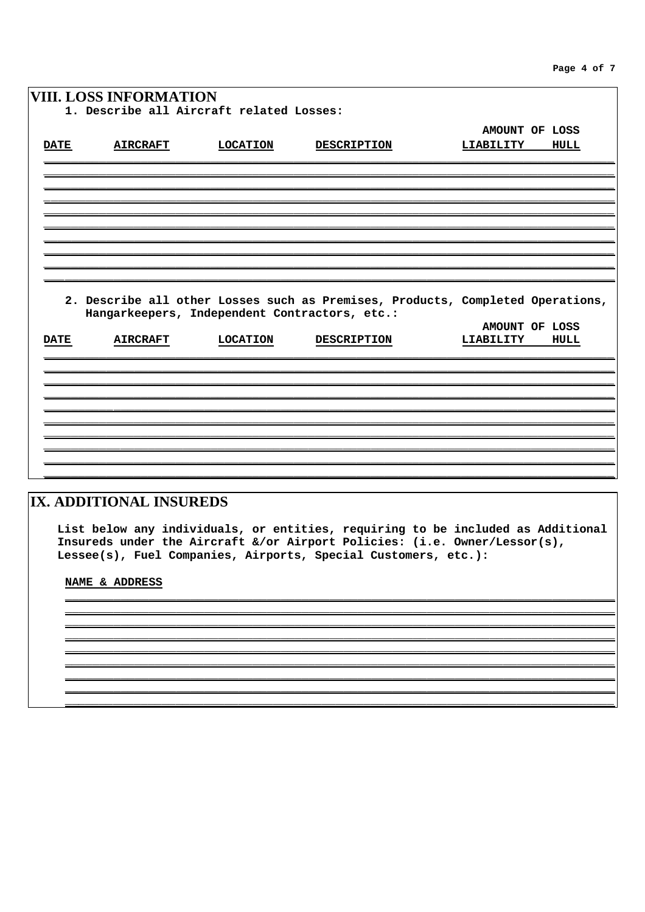|             | <b>VIII. LOSS INFORMATION</b>                 |                 |                    |                                                                                |
|-------------|-----------------------------------------------|-----------------|--------------------|--------------------------------------------------------------------------------|
|             | 1. Describe all Aircraft related Losses:      |                 |                    |                                                                                |
|             |                                               |                 |                    | AMOUNT OF LOSS                                                                 |
| <b>DATE</b> | <b>AIRCRAFT</b>                               | <b>LOCATION</b> | <b>DESCRIPTION</b> | LIABILITY<br>HULL                                                              |
|             |                                               |                 |                    |                                                                                |
|             |                                               |                 |                    |                                                                                |
|             |                                               |                 |                    |                                                                                |
|             |                                               |                 |                    |                                                                                |
|             |                                               |                 |                    |                                                                                |
|             |                                               |                 |                    |                                                                                |
|             |                                               |                 |                    |                                                                                |
|             |                                               |                 |                    |                                                                                |
|             | Hangarkeepers, Independent Contractors, etc.: |                 |                    | 2. Describe all other Losses such as Premises, Products, Completed Operations, |
|             |                                               |                 |                    | AMOUNT OF LOSS                                                                 |
| <b>DATE</b> | <b>AIRCRAFT</b>                               | <b>LOCATION</b> | <b>DESCRIPTION</b> | LIABILITY<br>HULL                                                              |
|             |                                               |                 |                    |                                                                                |
|             |                                               |                 |                    |                                                                                |
|             |                                               |                 |                    |                                                                                |
|             |                                               |                 |                    |                                                                                |
|             |                                               |                 |                    |                                                                                |
|             |                                               |                 |                    |                                                                                |
|             |                                               |                 |                    |                                                                                |
|             |                                               |                 |                    |                                                                                |

# IX. ADDITIONAL INSUREDS

List below any individuals, or entities, requiring to be included as Additional Insureds under the Aircraft &/or Airport Policies: (i.e. Owner/Lessor(s), Lessee(s), Fuel Companies, Airports, Special Customers, etc.):

NAME & ADDRESS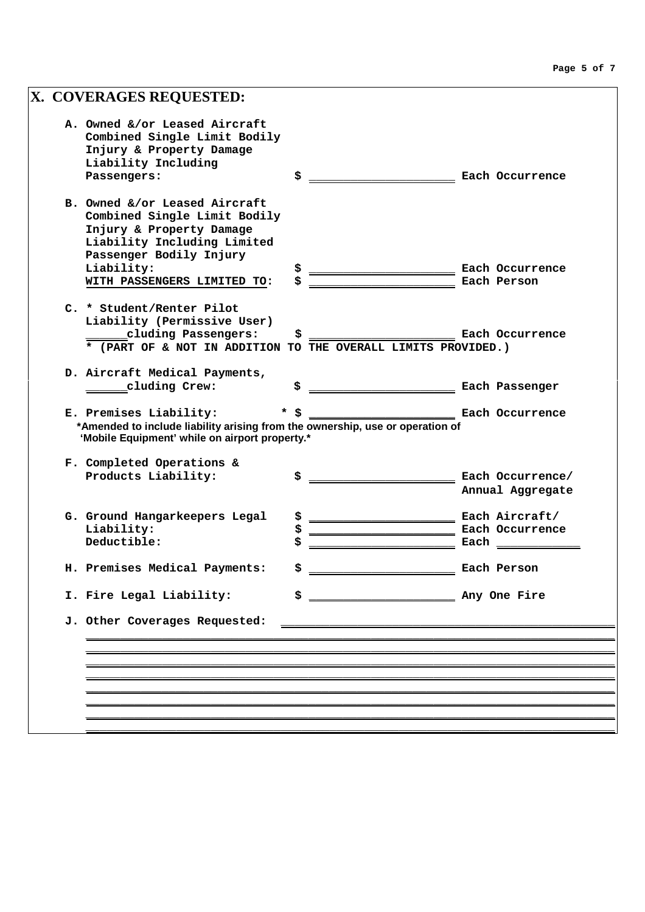| X. COVERAGES REQUESTED:                                                                                                                                   |                        |      |                                      |
|-----------------------------------------------------------------------------------------------------------------------------------------------------------|------------------------|------|--------------------------------------|
| A. Owned &/or Leased Aircraft<br>Combined Single Limit Bodily<br>Injury & Property Damage<br>Liability Including<br>Passengers:                           | \$                     |      | Each Occurrence                      |
|                                                                                                                                                           |                        |      |                                      |
| B. Owned &/or Leased Aircraft<br>Combined Single Limit Bodily<br>Injury & Property Damage<br>Liability Including Limited<br>Passenger Bodily Injury       |                        |      |                                      |
| Liability:                                                                                                                                                | \$                     |      | Each Occurrence                      |
| WITH PASSENGERS LIMITED TO:                                                                                                                               | \$                     |      | Each Person                          |
| C. * Student/Renter Pilot<br>Liability (Permissive User)<br>cluding Passengers:<br>* (PART OF & NOT IN ADDITION TO THE OVERALL LIMITS PROVIDED.)          | \$                     |      | Each Occurrence                      |
| D. Aircraft Medical Payments,                                                                                                                             |                        |      |                                      |
| cluding Crew:                                                                                                                                             | \$                     |      | Each Passenger                       |
| E. Premises Liability:<br>*Amended to include liability arising from the ownership, use or operation of<br>'Mobile Equipment' while on airport property.* | <b>Each Occurrence</b> |      |                                      |
| F. Completed Operations &<br>Products Liability:                                                                                                          | \$                     |      | Each Occurrence/<br>Annual Aggregate |
| G. Ground Hangarkeepers Legal                                                                                                                             | \$                     |      | Each Aircraft/                       |
| Liability:                                                                                                                                                | \$                     |      | Each Occurrence                      |
| Deductible:                                                                                                                                               | \$                     | Each |                                      |
| H. Premises Medical Payments:                                                                                                                             | \$                     |      | Each Person                          |
| I. Fire Legal Liability:                                                                                                                                  | \$                     |      |                                      |
| J. Other Coverages Requested:                                                                                                                             |                        |      |                                      |
|                                                                                                                                                           |                        |      |                                      |
|                                                                                                                                                           |                        |      |                                      |
|                                                                                                                                                           |                        |      |                                      |
|                                                                                                                                                           |                        |      |                                      |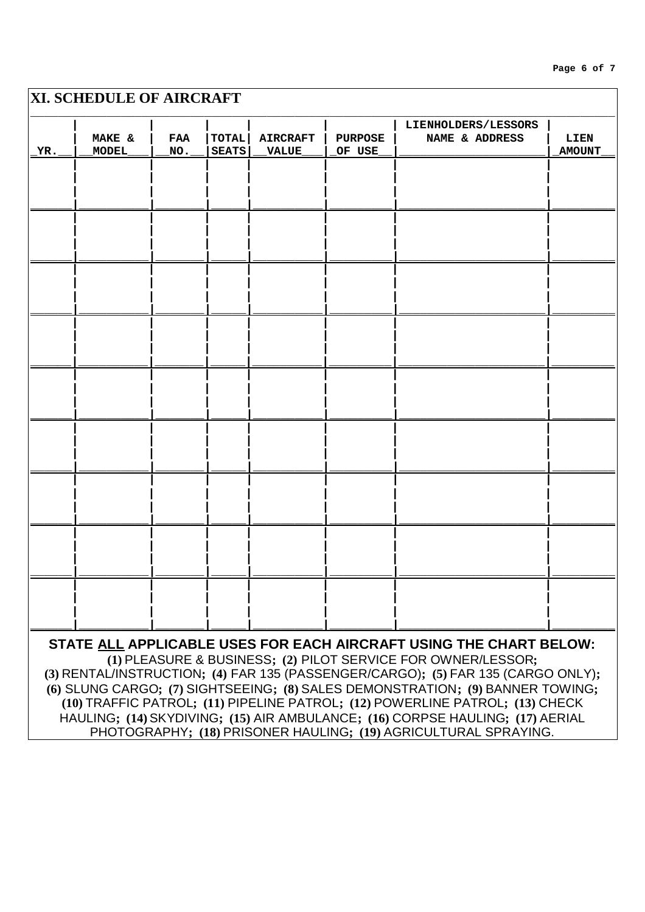# XI. SCHEDULE OF AIRCRAFT LIENHOLDERS/LESSORS MAKE & **FAA TOTAL AIRCRAFT PURPOSE** NAME & ADDRESS LIEN YR. **MODEL** NO. **SEATS VALUE** OF USE **AMOUNT** STATE ALL APPLICABLE USES FOR EACH AIRCRAFT USING THE CHART BELOW: (1) PLEASURE & BUSINESS; (2) PILOT SERVICE FOR OWNER/LESSOR; (3) RENTAL/INSTRUCTION; (4) FAR 135 (PASSENGER/CARGO); (5) FAR 135 (CARGO ONLY); (6) SLUNG CARGO; (7) SIGHTSEEING; (8) SALES DEMONSTRATION; (9) BANNER TOWING; (10) TRAFFIC PATROL; (11) PIPELINE PATROL; (12) POWERLINE PATROL; (13) CHECK HAULING; (14) SKYDIVING; (15) AIR AMBULANCE; (16) CORPSE HAULING; (17) AERIAL

PHOTOGRAPHY; (18) PRISONER HAULING; (19) AGRICULTURAL SPRAYING.